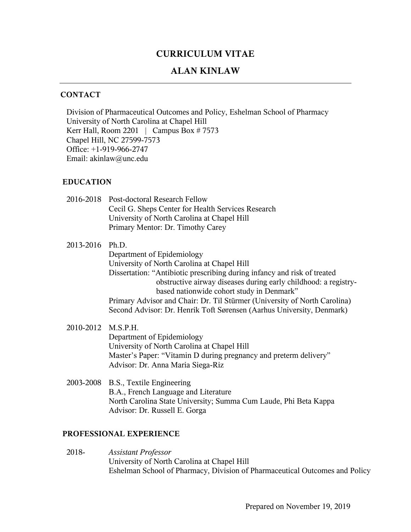## **CURRICULUM VITAE**

## **ALAN KINLAW**

#### **CONTACT**

Division of Pharmaceutical Outcomes and Policy, Eshelman School of Pharmacy University of North Carolina at Chapel Hill Kerr Hall, Room 2201 | Campus Box  $\# 7573$ Chapel Hill, NC 27599-7573 Office: +1-919-966-2747 Email: akinlaw@unc.edu

#### **EDUCATION**

### 2016-2018 Post-doctoral Research Fellow Cecil G. Sheps Center for Health Services Research University of North Carolina at Chapel Hill Primary Mentor: Dr. Timothy Carey

#### 2013-2016 Ph.D.

Department of Epidemiology University of North Carolina at Chapel Hill Dissertation: "Antibiotic prescribing during infancy and risk of treated obstructive airway diseases during early childhood: a registrybased nationwide cohort study in Denmark" Primary Advisor and Chair: Dr. Til Stürmer (University of North Carolina) Second Advisor: Dr. Henrik Toft Sørensen (Aarhus University, Denmark)

# 2010-2012 M.S.P.H.

Department of Epidemiology University of North Carolina at Chapel Hill Master's Paper: "Vitamin D during pregnancy and preterm delivery" Advisor: Dr. Anna Maria Siega-Riz

# 2003-2008 B.S., Textile Engineering

B.A., French Language and Literature North Carolina State University; Summa Cum Laude, Phi Beta Kappa Advisor: Dr. Russell E. Gorga

#### **PROFESSIONAL EXPERIENCE**

2018- *Assistant Professor* University of North Carolina at Chapel Hill Eshelman School of Pharmacy, Division of Pharmaceutical Outcomes and Policy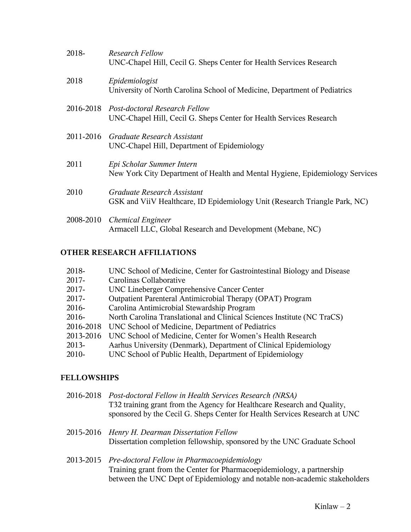| 2018-     | Research Fellow<br>UNC-Chapel Hill, Cecil G. Sheps Center for Health Services Research                         |
|-----------|----------------------------------------------------------------------------------------------------------------|
| 2018      | Epidemiologist<br>University of North Carolina School of Medicine, Department of Pediatrics                    |
|           | 2016-2018 Post-doctoral Research Fellow<br>UNC-Chapel Hill, Cecil G. Sheps Center for Health Services Research |
|           | 2011-2016 Graduate Research Assistant<br>UNC-Chapel Hill, Department of Epidemiology                           |
| 2011      | Epi Scholar Summer Intern<br>New York City Department of Health and Mental Hygiene, Epidemiology Services      |
| 2010      | Graduate Research Assistant<br>GSK and ViiV Healthcare, ID Epidemiology Unit (Research Triangle Park, NC)      |
| 2008-2010 | <b>Chemical Engineer</b><br>Armacell LLC, Global Research and Development (Mebane, NC)                         |

# **OTHER RESEARCH AFFILIATIONS**

| 2018-     | UNC School of Medicine, Center for Gastrointestinal Biology and Disease |
|-----------|-------------------------------------------------------------------------|
| 2017-     | Carolinas Collaborative                                                 |
| 2017-     | UNC Lineberger Comprehensive Cancer Center                              |
| 2017-     | Outpatient Parenteral Antimicrobial Therapy (OPAT) Program              |
| 2016-     | Carolina Antimicrobial Stewardship Program                              |
| 2016-     | North Carolina Translational and Clinical Sciences Institute (NC TraCS) |
| 2016-2018 | UNC School of Medicine, Department of Pediatrics                        |
| 2013-2016 | UNC School of Medicine, Center for Women's Health Research              |
| 2013-     | Aarhus University (Denmark), Department of Clinical Epidemiology        |
| 2010-     | UNC School of Public Health, Department of Epidemiology                 |
|           |                                                                         |

## **FELLOWSHIPS**

| 2016-2018 | Post-doctoral Fellow in Health Services Research (NRSA)<br>T32 training grant from the Agency for Healthcare Research and Quality,<br>sponsored by the Cecil G. Sheps Center for Health Services Research at UNC |
|-----------|------------------------------------------------------------------------------------------------------------------------------------------------------------------------------------------------------------------|
|           | 2015-2016 Henry H. Dearman Dissertation Fellow<br>Dissertation completion fellowship, sponsored by the UNC Graduate School                                                                                       |
|           | 2013-2015 Pre-doctoral Fellow in Pharmacoepidemiology<br>Training grant from the Center for Pharmacoepidemiology, a partnership<br>between the UNC Dept of Epidemiology and notable non-academic stakeholders    |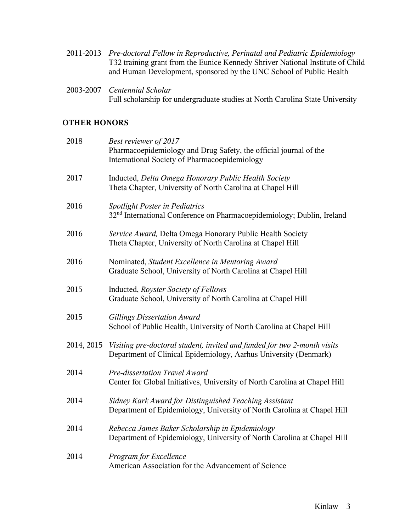| 2011-2013 Pre-doctoral Fellow in Reproductive, Perinatal and Pediatric Epidemiology |
|-------------------------------------------------------------------------------------|
| T32 training grant from the Eunice Kennedy Shriver National Institute of Child      |
| and Human Development, sponsored by the UNC School of Public Health                 |

2003-2007 *Centennial Scholar* Full scholarship for undergraduate studies at North Carolina State University

# **OTHER HONORS**

| 2018 | Best reviewer of 2017<br>Pharmacoepidemiology and Drug Safety, the official journal of the<br>International Society of Pharmacoepidemiology             |
|------|---------------------------------------------------------------------------------------------------------------------------------------------------------|
| 2017 | Inducted, Delta Omega Honorary Public Health Society<br>Theta Chapter, University of North Carolina at Chapel Hill                                      |
| 2016 | <b>Spotlight Poster in Pediatrics</b><br>32 <sup>nd</sup> International Conference on Pharmacoepidemiology; Dublin, Ireland                             |
| 2016 | Service Award, Delta Omega Honorary Public Health Society<br>Theta Chapter, University of North Carolina at Chapel Hill                                 |
| 2016 | Nominated, Student Excellence in Mentoring Award<br>Graduate School, University of North Carolina at Chapel Hill                                        |
| 2015 | Inducted, Royster Society of Fellows<br>Graduate School, University of North Carolina at Chapel Hill                                                    |
| 2015 | <b>Gillings Dissertation Award</b><br>School of Public Health, University of North Carolina at Chapel Hill                                              |
|      | 2014, 2015 Visiting pre-doctoral student, invited and funded for two 2-month visits<br>Department of Clinical Epidemiology, Aarhus University (Denmark) |
| 2014 | Pre-dissertation Travel Award<br>Center for Global Initiatives, University of North Carolina at Chapel Hill                                             |
| 2014 | Sidney Kark Award for Distinguished Teaching Assistant<br>Department of Epidemiology, University of North Carolina at Chapel Hill                       |
| 2014 | Rebecca James Baker Scholarship in Epidemiology<br>Department of Epidemiology, University of North Carolina at Chapel Hill                              |
| 2014 | Program for Excellence<br>American Association for the Advancement of Science                                                                           |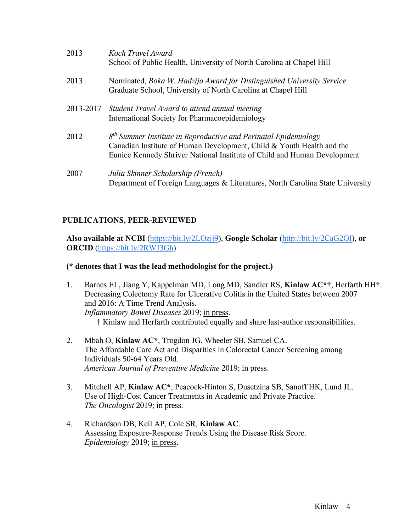| 2013      | Koch Travel Award<br>School of Public Health, University of North Carolina at Chapel Hill                                                                                                                              |
|-----------|------------------------------------------------------------------------------------------------------------------------------------------------------------------------------------------------------------------------|
| 2013      | Nominated, Boka W. Hadzija Award for Distinguished University Service<br>Graduate School, University of North Carolina at Chapel Hill                                                                                  |
| 2013-2017 | Student Travel Award to attend annual meeting<br>International Society for Pharmacoepidemiology                                                                                                                        |
| 2012      | $8th$ Summer Institute in Reproductive and Perinatal Epidemiology<br>Canadian Institute of Human Development, Child & Youth Health and the<br>Eunice Kennedy Shriver National Institute of Child and Human Development |
| 2007      | Julia Skinner Scholarship (French)<br>Department of Foreign Languages & Literatures, North Carolina State University                                                                                                   |

## **PUBLICATIONS, PEER-REVIEWED**

**Also available at NCBI** (<https://bit.ly/2LOzjj9>), **Google Scholar** [\(http://bit.ly/2CaG2OI\)](http://bit.ly/2CaG2OI), **or ORCID** [\(https://bit.ly/2RWJ3Gh\)](https://bit.ly/2RWJ3Gh)

## **(\* denotes that I was the lead methodologist for the project.)**

- 1. Barnes EL, Jiang Y, Kappelman MD, Long MD, Sandler RS, **Kinlaw AC\***†, Herfarth HH†. Decreasing Colectomy Rate for Ulcerative Colitis in the United States between 2007 and 2016: A Time Trend Analysis. *Inflammatory Bowel Diseases* 2019; in press. † Kinlaw and Herfarth contributed equally and share last-author responsibilities.
- 2. Mbah O, **Kinlaw AC\***, Trogdon JG, Wheeler SB, Samuel CA. The Affordable Care Act and Disparities in Colorectal Cancer Screening among Individuals 50-64 Years Old. *American Journal of Preventive Medicine* 2019; in press.
- 3. Mitchell AP, **Kinlaw AC\***, Peacock-Hinton S, Dusetzina SB, Sanoff HK, Lund JL. Use of High-Cost Cancer Treatments in Academic and Private Practice. *The Oncologist* 2019; in press.
- 4. Richardson DB, Keil AP, Cole SR, **Kinlaw AC**. Assessing Exposure-Response Trends Using the Disease Risk Score. *Epidemiology* 2019; in press.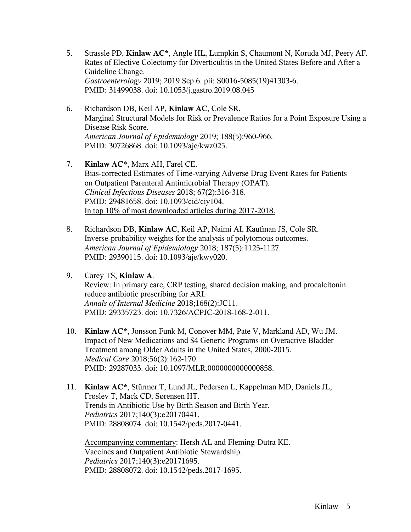- 5. Strassle PD, **Kinlaw AC\***, Angle HL, Lumpkin S, Chaumont N, Koruda MJ, Peery AF. Rates of Elective Colectomy for Diverticulitis in the United States Before and After a Guideline Change. *Gastroenterology* 2019; 2019 Sep 6. pii: S0016-5085(19)41303-6. PMID: 31499038. doi: 10.1053/j.gastro.2019.08.045
- 6. Richardson DB, Keil AP, **Kinlaw AC**, Cole SR. Marginal Structural Models for Risk or Prevalence Ratios for a Point Exposure Using a Disease Risk Score. *American Journal of Epidemiology* 2019; 188(5):960-966. PMID: 30726868. doi: 10.1093/aje/kwz025.
- 7. **Kinlaw AC**\*, Marx AH, Farel CE. Bias-corrected Estimates of Time-varying Adverse Drug Event Rates for Patients on Outpatient Parenteral Antimicrobial Therapy (OPAT). *Clinical Infectious Diseases* 2018; 67(2):316-318. PMID: 29481658. doi: 10.1093/cid/ciy104. In top 10% of most downloaded articles during 2017-2018.
- 8. Richardson DB, **Kinlaw AC**, Keil AP, Naimi AI, Kaufman JS, Cole SR. Inverse-probability weights for the analysis of polytomous outcomes. *American Journal of Epidemiology* 2018; 187(5):1125-1127. PMID: 29390115. doi: 10.1093/aje/kwy020.
- 9. Carey TS, **Kinlaw A**. Review: In primary care, CRP testing, shared decision making, and procalcitonin reduce antibiotic prescribing for ARI. *Annals of Internal Medicine* 2018;168(2):JC11. PMID: 29335723. doi: 10.7326/ACPJC-2018-168-2-011.
- 10. **Kinlaw AC\***, Jonsson Funk M, Conover MM, Pate V, Markland AD, Wu JM. Impact of New Medications and \$4 Generic Programs on Overactive Bladder Treatment among Older Adults in the United States, 2000-2015. *Medical Care* 2018;56(2):162-170. PMID: 29287033. doi: 10.1097/MLR.0000000000000858.
- 11. **Kinlaw AC\***, Stürmer T, Lund JL, Pedersen L, Kappelman MD, Daniels JL, Frøslev T, Mack CD, Sørensen HT. Trends in Antibiotic Use by Birth Season and Birth Year. *Pediatrics* 2017;140(3):e20170441. PMID: 28808074. doi: 10.1542/peds.2017-0441.

Accompanying commentary: Hersh AL and Fleming-Dutra KE. Vaccines and Outpatient Antibiotic Stewardship. *Pediatrics* 2017;140(3):e20171695. PMID: 28808072. doi: 10.1542/peds.2017-1695.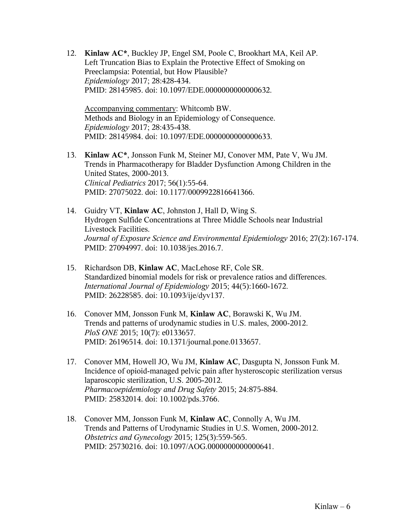12. **Kinlaw AC\***, Buckley JP, Engel SM, Poole C, Brookhart MA, Keil AP. Left Truncation Bias to Explain the Protective Effect of Smoking on Preeclampsia: Potential, but How Plausible? *Epidemiology* 2017; 28:428-434. PMID: 28145985. doi: 10.1097/EDE.0000000000000632.

Accompanying commentary: Whitcomb BW. Methods and Biology in an Epidemiology of Consequence. *Epidemiology* 2017; 28:435-438. PMID: 28145984. doi: 10.1097/EDE.0000000000000633.

- 13. **Kinlaw AC\***, Jonsson Funk M, Steiner MJ, Conover MM, Pate V, Wu JM. Trends in Pharmacotherapy for Bladder Dysfunction Among Children in the United States, 2000-2013. *Clinical Pediatrics* 2017; 56(1):55-64. PMID: 27075022. doi: 10.1177/0009922816641366.
- 14. Guidry VT, **Kinlaw AC**, Johnston J, Hall D, Wing S. Hydrogen Sulfide Concentrations at Three Middle Schools near Industrial Livestock Facilities. *Journal of Exposure Science and Environmental Epidemiology* 2016; 27(2):167-174. PMID: 27094997. doi: 10.1038/jes.2016.7.
- 15. Richardson DB, **Kinlaw AC**, MacLehose RF, Cole SR. Standardized binomial models for risk or prevalence ratios and differences. *International Journal of Epidemiology* 2015; 44(5):1660-1672. PMID: 26228585. doi: 10.1093/ije/dyv137.
- 16. Conover MM, Jonsson Funk M, **Kinlaw AC**, Borawski K, Wu JM. Trends and patterns of urodynamic studies in U.S. males, 2000-2012. *PloS ONE* 2015; 10(7): e0133657. PMID: 26196514. doi: 10.1371/journal.pone.0133657.
- 17. Conover MM, Howell JO, Wu JM, **Kinlaw AC**, Dasgupta N, Jonsson Funk M. Incidence of opioid-managed pelvic pain after hysteroscopic sterilization versus laparoscopic sterilization, U.S. 2005-2012. *Pharmacoepidemiology and Drug Safety* 2015; 24:875-884. PMID: 25832014. doi: 10.1002/pds.3766.
- 18. Conover MM, Jonsson Funk M, **Kinlaw AC**, Connolly A, Wu JM. Trends and Patterns of Urodynamic Studies in U.S. Women, 2000-2012. *Obstetrics and Gynecology* 2015; 125(3):559-565. PMID: 25730216. doi: 10.1097/AOG.0000000000000641.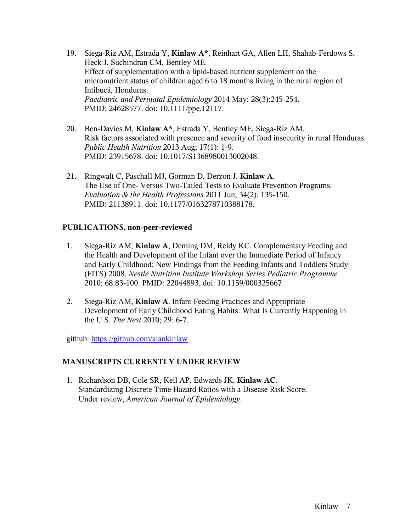- 19. Siega-Riz AM, Estrada Y, **Kinlaw A\***, Reinhart GA, Allen LH, Shahab-Ferdows S, Heck J, Suchindran CM, Bentley ME. Effect of supplementation with a lipid-based nutrient supplement on the micronutrient status of children aged 6 to 18 months living in the rural region of Intibucá, Honduras. *Paediatric and Perinatal Epidemiology* 2014 May; 28(3):245-254. PMID: 24628577. doi: 10.1111/ppe.12117.
- 20. Ben-Davies M, **Kinlaw A\***, Estrada Y, Bentley ME, Siega-Riz AM. Risk factors associated with presence and severity of food insecurity in rural Honduras. *Public Health Nutrition* 2013 Aug; 17(1): 1-9. PMID: 23915678. doi: 10.1017/S1368980013002048.
- 21. Ringwalt C, Paschall MJ, Gorman D, Derzon J, **Kinlaw A**. The Use of One- Versus Two-Tailed Tests to Evaluate Prevention Programs. *Evaluation & the Health Professions* 2011 Jun; 34(2): 135-150. PMID: 21138911. doi: 10.1177/0163278710388178.

### **PUBLICATIONS, non-peer-reviewed**

- 1. Siega-Riz AM, **Kinlaw A**, Deming DM, Reidy KC. Complementary Feeding and the Health and Development of the Infant over the Immediate Period of Infancy and Early Childhood: New Findings from the Feeding Infants and Toddlers Study (FITS) 2008. *Nestlé Nutrition Institute Workshop Series Pediatric Programme* 2010; 68:83-100. PMID: 22044893. doi: 10.1159/000325667
- 2. Siega-Riz AM, **Kinlaw A**. Infant Feeding Practices and Appropriate Development of Early Childhood Eating Habits: What Is Currently Happening in the U.S. *The Nest* 2010; 29: 6-7.

github:<https://github.com/alankinlaw>

## **MANUSCRIPTS CURRENTLY UNDER REVIEW**

1. Richardson DB, Cole SR, Keil AP, Edwards JK, **Kinlaw AC**. Standardizing Discrete Time Hazard Ratios with a Disease Risk Score. Under review, *American Journal of Epidemiology*.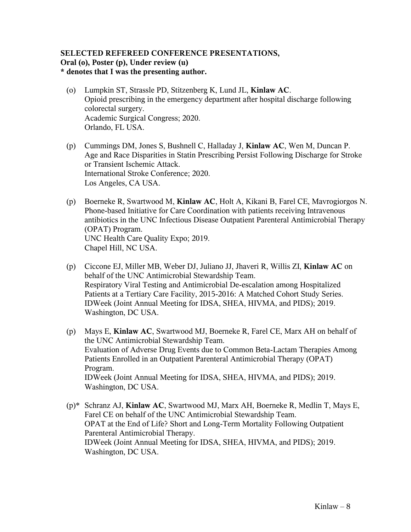## **SELECTED REFEREED CONFERENCE PRESENTATIONS, Oral (o), Poster (p), Under review (u) \* denotes that I was the presenting author.**

- (o) Lumpkin ST, Strassle PD, Stitzenberg K, Lund JL, **Kinlaw AC**. Opioid prescribing in the emergency department after hospital discharge following colorectal surgery. Academic Surgical Congress; 2020. Orlando, FL USA.
- (p) Cummings DM, Jones S, Bushnell C, Halladay J, **Kinlaw AC**, Wen M, Duncan P. Age and Race Disparities in Statin Prescribing Persist Following Discharge for Stroke or Transient Ischemic Attack. International Stroke Conference; 2020. Los Angeles, CA USA.
- (p) Boerneke R, Swartwood M, **Kinlaw AC**, Holt A, Kikani B, Farel CE, Mavrogiorgos N. Phone-based Initiative for Care Coordination with patients receiving Intravenous antibiotics in the UNC Infectious Disease Outpatient Parenteral Antimicrobial Therapy (OPAT) Program. UNC Health Care Quality Expo; 2019. Chapel Hill, NC USA.
- (p) Ciccone EJ, Miller MB, Weber DJ, Juliano JJ, Jhaveri R, Willis ZI, **Kinlaw AC** on behalf of the UNC Antimicrobial Stewardship Team. Respiratory Viral Testing and Antimicrobial De-escalation among Hospitalized Patients at a Tertiary Care Facility, 2015-2016: A Matched Cohort Study Series. IDWeek (Joint Annual Meeting for IDSA, SHEA, HIVMA, and PIDS); 2019. Washington, DC USA.
- (p) Mays E, **Kinlaw AC**, Swartwood MJ, Boerneke R, Farel CE, Marx AH on behalf of the UNC Antimicrobial Stewardship Team. Evaluation of Adverse Drug Events due to Common Beta-Lactam Therapies Among Patients Enrolled in an Outpatient Parenteral Antimicrobial Therapy (OPAT) Program. IDWeek (Joint Annual Meeting for IDSA, SHEA, HIVMA, and PIDS); 2019. Washington, DC USA.
- (p)\* Schranz AJ, **Kinlaw AC**, Swartwood MJ, Marx AH, Boerneke R, Medlin T, Mays E, Farel CE on behalf of the UNC Antimicrobial Stewardship Team. OPAT at the End of Life? Short and Long-Term Mortality Following Outpatient Parenteral Antimicrobial Therapy. IDWeek (Joint Annual Meeting for IDSA, SHEA, HIVMA, and PIDS); 2019. Washington, DC USA.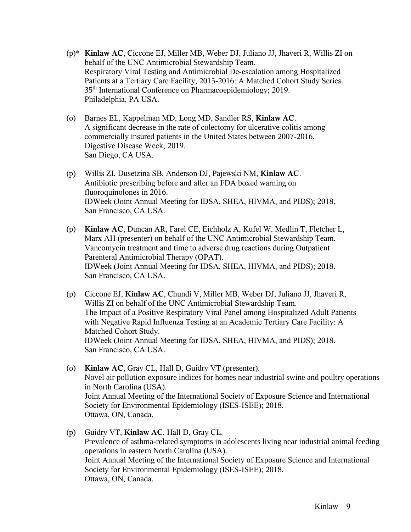- (p)\* **Kinlaw AC**, Ciccone EJ, Miller MB, Weber DJ, Juliano JJ, Jhaveri R, Willis ZI on behalf of the UNC Antimicrobial Stewardship Team. Respiratory Viral Testing and Antimicrobial De-escalation among Hospitalized Patients at a Tertiary Care Facility, 2015-2016: A Matched Cohort Study Series. 35th International Conference on Pharmacoepidemiology; 2019. Philadelphia, PA USA.
- (o) Barnes EL, Kappelman MD, Long MD, Sandler RS, **Kinlaw AC**. A significant decrease in the rate of colectomy for ulcerative colitis among commercially insured patients in the United States between 2007-2016. Digestive Disease Week; 2019. San Diego, CA USA.
- (p) Willis ZI, Dusetzina SB, Anderson DJ, Pajewski NM, **Kinlaw AC**. Antibiotic prescribing before and after an FDA boxed warning on fluoroquinolones in 2016. IDWeek (Joint Annual Meeting for IDSA, SHEA, HIVMA, and PIDS); 2018. San Francisco, CA USA.
- (p) **Kinlaw AC**, Duncan AR, Farel CE, Eichholz A, Kufel W, Medlin T, Fletcher L, Marx AH (presenter) on behalf of the UNC Antimicrobial Stewardship Team. Vancomycin treatment and time to adverse drug reactions during Outpatient Parenteral Antimicrobial Therapy (OPAT). IDWeek (Joint Annual Meeting for IDSA, SHEA, HIVMA, and PIDS); 2018. San Francisco, CA USA.
- (p) Ciccone EJ, **Kinlaw AC**, Chundi V, Miller MB, Weber DJ, Juliano JJ, Jhaveri R, Willis ZI on behalf of the UNC Antimicrobial Stewardship Team. The Impact of a Positive Respiratory Viral Panel among Hospitalized Adult Patients with Negative Rapid Influenza Testing at an Academic Tertiary Care Facility: A Matched Cohort Study. IDWeek (Joint Annual Meeting for IDSA, SHEA, HIVMA, and PIDS); 2018. San Francisco, CA USA.
- (o) **Kinlaw AC**, Gray CL, Hall D, Guidry VT (presenter). Novel air pollution exposure indices for homes near industrial swine and poultry operations in North Carolina (USA). Joint Annual Meeting of the International Society of Exposure Science and International Society for Environmental Epidemiology (ISES-ISEE); 2018. Ottawa, ON, Canada.
- (p) Guidry VT, **Kinlaw AC**, Hall D, Gray CL. Prevalence of asthma-related symptoms in adolescents living near industrial animal feeding operations in eastern North Carolina (USA). Joint Annual Meeting of the International Society of Exposure Science and International Society for Environmental Epidemiology (ISES-ISEE); 2018. Ottawa, ON, Canada.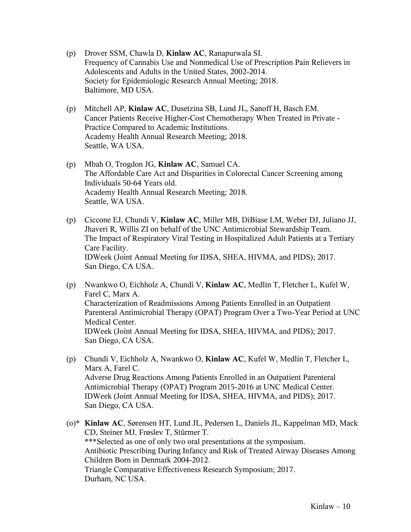- (p) Drover SSM, Chawla D, **Kinlaw AC**, Ranapurwala SI. Frequency of Cannabis Use and Nonmedical Use of Prescription Pain Relievers in Adolescents and Adults in the United States, 2002-2014. Society for Epidemiologic Research Annual Meeting; 2018. Baltimore, MD USA.
- (p) Mitchell AP, **Kinlaw AC**, Dusetzina SB, Lund JL, Sanoff H, Basch EM. Cancer Patients Receive Higher-Cost Chemotherapy When Treated in Private - Practice Compared to Academic Institutions. Academy Health Annual Research Meeting; 2018. Seattle, WA USA.
- (p) Mbah O, Trogdon JG, **Kinlaw AC**, Samuel CA. The Affordable Care Act and Disparities in Colorectal Cancer Screening among Individuals 50-64 Years old. Academy Health Annual Research Meeting; 2018. Seattle, WA USA.
- (p) Ciccone EJ, Chundi V, **Kinlaw AC**, Miller MB, DiBiase LM, Weber DJ, Juliano JJ, Jhaveri R, Willis ZI on behalf of the UNC Antimicrobial Stewardship Team. The Impact of Respiratory Viral Testing in Hospitalized Adult Patients at a Tertiary Care Facility. IDWeek (Joint Annual Meeting for IDSA, SHEA, HIVMA, and PIDS); 2017. San Diego, CA USA.
- (p) Nwankwo O, Eichholz A, Chundi V, **Kinlaw AC**, Medlin T, Fletcher L, Kufel W, Farel C, Marx A. Characterization of Readmissions Among Patients Enrolled in an Outpatient Parenteral Antimicrobial Therapy (OPAT) Program Over a Two-Year Period at UNC Medical Center. IDWeek (Joint Annual Meeting for IDSA, SHEA, HIVMA, and PIDS); 2017. San Diego, CA USA.
- (p) Chundi V, Eichholz A, Nwankwo O, **Kinlaw AC**, Kufel W, Medlin T, Fletcher L, Marx A, Farel C. Adverse Drug Reactions Among Patients Enrolled in an Outpatient Parenteral Antimicrobial Therapy (OPAT) Program 2015-2016 at UNC Medical Center. IDWeek (Joint Annual Meeting for IDSA, SHEA, HIVMA, and PIDS); 2017. San Diego, CA USA.
- (o)\* **Kinlaw AC**, Sørensen HT, Lund JL, Pedersen L, Daniels JL, Kappelman MD, Mack CD, Steiner MJ, Frøslev T, Stürmer T. \*\*\*Selected as one of only two oral presentations at the symposium. Antibiotic Prescribing During Infancy and Risk of Treated Airway Diseases Among Children Born in Denmark 2004-2012. Triangle Comparative Effectiveness Research Symposium; 2017. Durham, NC USA.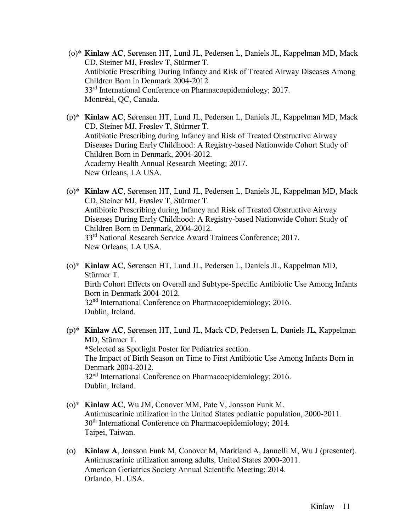- (o)\* **Kinlaw AC**, Sørensen HT, Lund JL, Pedersen L, Daniels JL, Kappelman MD, Mack CD, Steiner MJ, Frøslev T, Stürmer T. Antibiotic Prescribing During Infancy and Risk of Treated Airway Diseases Among Children Born in Denmark 2004-2012. 33<sup>rd</sup> International Conference on Pharmacoepidemiology; 2017. Montréal, QC, Canada.
- (p)\* **Kinlaw AC**, Sørensen HT, Lund JL, Pedersen L, Daniels JL, Kappelman MD, Mack CD, Steiner MJ, Frøslev T, Stürmer T. Antibiotic Prescribing during Infancy and Risk of Treated Obstructive Airway Diseases During Early Childhood: A Registry-based Nationwide Cohort Study of Children Born in Denmark, 2004-2012. Academy Health Annual Research Meeting; 2017. New Orleans, LA USA.
- (o)\* **Kinlaw AC**, Sørensen HT, Lund JL, Pedersen L, Daniels JL, Kappelman MD, Mack CD, Steiner MJ, Frøslev T, Stürmer T. Antibiotic Prescribing during Infancy and Risk of Treated Obstructive Airway Diseases During Early Childhood: A Registry-based Nationwide Cohort Study of Children Born in Denmark, 2004-2012. 33rd National Research Service Award Trainees Conference; 2017. New Orleans, LA USA.
- (o)\* **Kinlaw AC**, Sørensen HT, Lund JL, Pedersen L, Daniels JL, Kappelman MD, Stürmer T. Birth Cohort Effects on Overall and Subtype-Specific Antibiotic Use Among Infants Born in Denmark 2004-2012. 32<sup>nd</sup> International Conference on Pharmacoepidemiology; 2016. Dublin, Ireland.
- (p)\* **Kinlaw AC**, Sørensen HT, Lund JL, Mack CD, Pedersen L, Daniels JL, Kappelman MD, Stürmer T. \*Selected as Spotlight Poster for Pediatrics section. The Impact of Birth Season on Time to First Antibiotic Use Among Infants Born in Denmark 2004-2012. 32<sup>nd</sup> International Conference on Pharmacoepidemiology; 2016. Dublin, Ireland.
- (o)\* **Kinlaw AC**, Wu JM, Conover MM, Pate V, Jonsson Funk M. Antimuscarinic utilization in the United States pediatric population, 2000-2011. 30<sup>th</sup> International Conference on Pharmacoepidemiology; 2014. Taipei, Taiwan.
- (o) **Kinlaw A**, Jonsson Funk M, Conover M, Markland A, Jannelli M, Wu J (presenter). Antimuscarinic utilization among adults, United States 2000-2011. American Geriatrics Society Annual Scientific Meeting; 2014. Orlando, FL USA.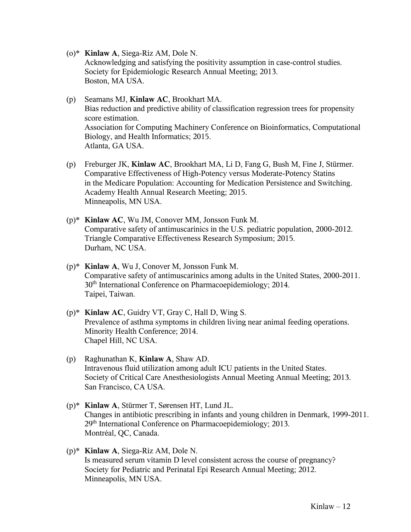- (o)\* **Kinlaw A**, Siega-Riz AM, Dole N. Acknowledging and satisfying the positivity assumption in case-control studies. Society for Epidemiologic Research Annual Meeting; 2013. Boston, MA USA.
- (p) Seamans MJ, **Kinlaw AC**, Brookhart MA. Bias reduction and predictive ability of classification regression trees for propensity score estimation. Association for Computing Machinery Conference on Bioinformatics, Computational Biology, and Health Informatics; 2015. Atlanta, GA USA.
- (p) Freburger JK, **Kinlaw AC**, Brookhart MA, Li D, Fang G, Bush M, Fine J, Stürmer. Comparative Effectiveness of High-Potency versus Moderate-Potency Statins in the Medicare Population: Accounting for Medication Persistence and Switching. Academy Health Annual Research Meeting; 2015. Minneapolis, MN USA.
- (p)\* **Kinlaw AC**, Wu JM, Conover MM, Jonsson Funk M. Comparative safety of antimuscarinics in the U.S. pediatric population, 2000-2012. Triangle Comparative Effectiveness Research Symposium; 2015. Durham, NC USA.
- (p)\* **Kinlaw A**, Wu J, Conover M, Jonsson Funk M. Comparative safety of antimuscarinics among adults in the United States, 2000-2011. 30<sup>th</sup> International Conference on Pharmacoepidemiology; 2014. Taipei, Taiwan.
- (p)\* **Kinlaw AC**, Guidry VT, Gray C, Hall D, Wing S. Prevalence of asthma symptoms in children living near animal feeding operations. Minority Health Conference; 2014. Chapel Hill, NC USA.
- (p) Raghunathan K, **Kinlaw A**, Shaw AD. Intravenous fluid utilization among adult ICU patients in the United States. Society of Critical Care Anesthesiologists Annual Meeting Annual Meeting; 2013. San Francisco, CA USA.
- (p)\* **Kinlaw A**, Stürmer T, Sørensen HT, Lund JL. Changes in antibiotic prescribing in infants and young children in Denmark, 1999-2011. 29<sup>th</sup> International Conference on Pharmacoepidemiology; 2013. Montréal, QC, Canada.
- (p)\* **Kinlaw A**, Siega-Riz AM, Dole N. Is measured serum vitamin D level consistent across the course of pregnancy? Society for Pediatric and Perinatal Epi Research Annual Meeting; 2012. Minneapolis, MN USA.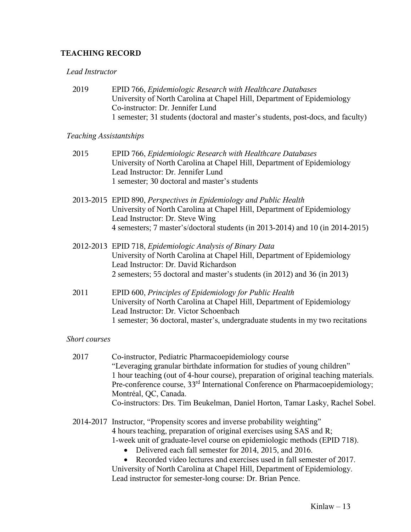## **TEACHING RECORD**

#### *Lead Instructor*

2019 EPID 766, *Epidemiologic Research with Healthcare Databases* University of North Carolina at Chapel Hill, Department of Epidemiology Co-instructor: Dr. Jennifer Lund 1 semester; 31 students (doctoral and master's students, post-docs, and faculty)

#### *Teaching Assistantships*

- 2015 EPID 766, *Epidemiologic Research with Healthcare Databases* University of North Carolina at Chapel Hill, Department of Epidemiology Lead Instructor: Dr. Jennifer Lund 1 semester; 30 doctoral and master's students
- 2013-2015 EPID 890, *Perspectives in Epidemiology and Public Health* University of North Carolina at Chapel Hill, Department of Epidemiology Lead Instructor: Dr. Steve Wing 4 semesters; 7 master's/doctoral students (in 2013-2014) and 10 (in 2014-2015)
- 2012-2013 EPID 718, *Epidemiologic Analysis of Binary Data* University of North Carolina at Chapel Hill, Department of Epidemiology Lead Instructor: Dr. David Richardson 2 semesters; 55 doctoral and master's students (in 2012) and 36 (in 2013)
- 2011 EPID 600, *Principles of Epidemiology for Public Health* University of North Carolina at Chapel Hill, Department of Epidemiology Lead Instructor: Dr. Victor Schoenbach 1 semester; 36 doctoral, master's, undergraduate students in my two recitations

#### *Short courses*

- 2017 Co-instructor, Pediatric Pharmacoepidemiology course "Leveraging granular birthdate information for studies of young children" 1 hour teaching (out of 4-hour course), preparation of original teaching materials. Pre-conference course, 33rd International Conference on Pharmacoepidemiology; Montréal, QC, Canada. Co-instructors: Drs. Tim Beukelman, Daniel Horton, Tamar Lasky, Rachel Sobel.
- 2014-2017 Instructor, "Propensity scores and inverse probability weighting" 4 hours teaching, preparation of original exercises using SAS and R; 1-week unit of graduate-level course on epidemiologic methods (EPID 718).
	- Delivered each fall semester for 2014, 2015, and 2016.
	- Recorded video lectures and exercises used in fall semester of 2017. University of North Carolina at Chapel Hill, Department of Epidemiology. Lead instructor for semester-long course: Dr. Brian Pence.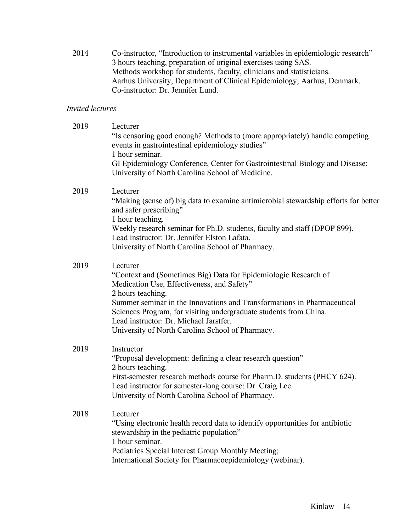2014 Co-instructor, "Introduction to instrumental variables in epidemiologic research" 3 hours teaching, preparation of original exercises using SAS. Methods workshop for students, faculty, clinicians and statisticians. Aarhus University, Department of Clinical Epidemiology; Aarhus, Denmark. Co-instructor: Dr. Jennifer Lund.

### *Invited lectures*

| 2019 | Lecturer<br>"Is censoring good enough? Methods to (more appropriately) handle competing<br>events in gastrointestinal epidemiology studies"<br>1 hour seminar.<br>GI Epidemiology Conference, Center for Gastrointestinal Biology and Disease;<br>University of North Carolina School of Medicine.                                                                                           |
|------|----------------------------------------------------------------------------------------------------------------------------------------------------------------------------------------------------------------------------------------------------------------------------------------------------------------------------------------------------------------------------------------------|
| 2019 | Lecturer<br>"Making (sense of) big data to examine antimicrobial stewardship efforts for better<br>and safer prescribing"<br>1 hour teaching.<br>Weekly research seminar for Ph.D. students, faculty and staff (DPOP 899).<br>Lead instructor: Dr. Jennifer Elston Lafata.<br>University of North Carolina School of Pharmacy.                                                               |
| 2019 | Lecturer<br>"Context and (Sometimes Big) Data for Epidemiologic Research of<br>Medication Use, Effectiveness, and Safety"<br>2 hours teaching.<br>Summer seminar in the Innovations and Transformations in Pharmaceutical<br>Sciences Program, for visiting undergraduate students from China.<br>Lead instructor: Dr. Michael Jarstfer.<br>University of North Carolina School of Pharmacy. |
| 2019 | Instructor<br>"Proposal development: defining a clear research question"<br>2 hours teaching.<br>First-semester research methods course for Pharm.D. students (PHCY 624).<br>Lead instructor for semester-long course: Dr. Craig Lee.<br>University of North Carolina School of Pharmacy.                                                                                                    |
| 2018 | Lecturer<br>"Using electronic health record data to identify opportunities for antibiotic<br>stewardship in the pediatric population"<br>1 hour seminar.<br>Pediatrics Special Interest Group Monthly Meeting;<br>International Society for Pharmacoepidemiology (webinar).                                                                                                                  |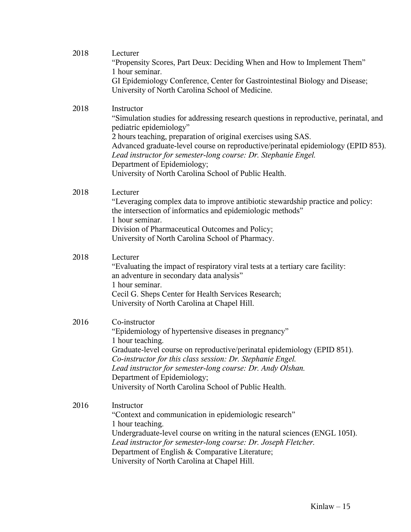| 2018 | Lecturer<br>"Propensity Scores, Part Deux: Deciding When and How to Implement Them"<br>1 hour seminar.<br>GI Epidemiology Conference, Center for Gastrointestinal Biology and Disease;<br>University of North Carolina School of Medicine.                                                                                                                                                                                                      |
|------|-------------------------------------------------------------------------------------------------------------------------------------------------------------------------------------------------------------------------------------------------------------------------------------------------------------------------------------------------------------------------------------------------------------------------------------------------|
| 2018 | Instructor<br>"Simulation studies for addressing research questions in reproductive, perinatal, and<br>pediatric epidemiology"<br>2 hours teaching, preparation of original exercises using SAS.<br>Advanced graduate-level course on reproductive/perinatal epidemiology (EPID 853).<br>Lead instructor for semester-long course: Dr. Stephanie Engel.<br>Department of Epidemiology;<br>University of North Carolina School of Public Health. |
| 2018 | Lecturer<br>"Leveraging complex data to improve antibiotic stewardship practice and policy:<br>the intersection of informatics and epidemiologic methods"<br>1 hour seminar.<br>Division of Pharmaceutical Outcomes and Policy;<br>University of North Carolina School of Pharmacy.                                                                                                                                                             |
| 2018 | Lecturer<br>"Evaluating the impact of respiratory viral tests at a tertiary care facility:<br>an adventure in secondary data analysis"<br>1 hour seminar.<br>Cecil G. Sheps Center for Health Services Research;<br>University of North Carolina at Chapel Hill.                                                                                                                                                                                |
| 2016 | Co-instructor<br>"Epidemiology of hypertensive diseases in pregnancy"<br>1 hour teaching.<br>Graduate-level course on reproductive/perinatal epidemiology (EPID 851).<br>Co-instructor for this class session: Dr. Stephanie Engel.<br>Lead instructor for semester-long course: Dr. Andy Olshan.<br>Department of Epidemiology;<br>University of North Carolina School of Public Health.                                                       |
| 2016 | Instructor<br>"Context and communication in epidemiologic research"<br>1 hour teaching.<br>Undergraduate-level course on writing in the natural sciences (ENGL 105I).<br>Lead instructor for semester-long course: Dr. Joseph Fletcher.<br>Department of English & Comparative Literature;<br>University of North Carolina at Chapel Hill.                                                                                                      |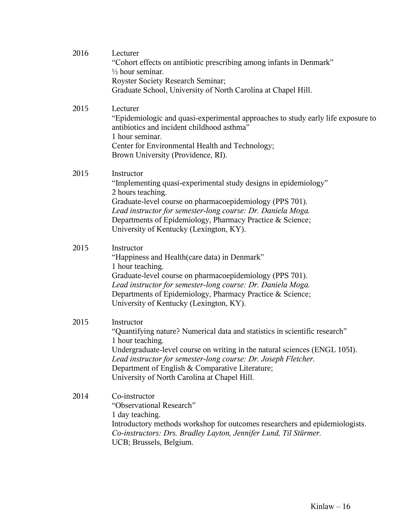| 2016 | Lecturer<br>"Cohort effects on antibiotic prescribing among infants in Denmark"<br>$\frac{1}{2}$ hour seminar.<br>Royster Society Research Seminar;<br>Graduate School, University of North Carolina at Chapel Hill.                                                                                                                                            |
|------|-----------------------------------------------------------------------------------------------------------------------------------------------------------------------------------------------------------------------------------------------------------------------------------------------------------------------------------------------------------------|
| 2015 | Lecturer<br>"Epidemiologic and quasi-experimental approaches to study early life exposure to<br>antibiotics and incident childhood asthma"<br>1 hour seminar.<br>Center for Environmental Health and Technology;<br>Brown University (Providence, RI).                                                                                                          |
| 2015 | Instructor<br>"Implementing quasi-experimental study designs in epidemiology"<br>2 hours teaching.<br>Graduate-level course on pharmacoepidemiology (PPS 701).<br>Lead instructor for semester-long course: Dr. Daniela Moga.<br>Departments of Epidemiology, Pharmacy Practice & Science;<br>University of Kentucky (Lexington, KY).                           |
| 2015 | Instructor<br>"Happiness and Health(care data) in Denmark"<br>1 hour teaching.<br>Graduate-level course on pharmacoepidemiology (PPS 701).<br>Lead instructor for semester-long course: Dr. Daniela Moga.<br>Departments of Epidemiology, Pharmacy Practice & Science;<br>University of Kentucky (Lexington, KY).                                               |
| 2015 | Instructor<br>"Quantifying nature? Numerical data and statistics in scientific research"<br>1 hour teaching.<br>Undergraduate-level course on writing in the natural sciences (ENGL 105I).<br>Lead instructor for semester-long course: Dr. Joseph Fletcher.<br>Department of English & Comparative Literature;<br>University of North Carolina at Chapel Hill. |
| 2014 | Co-instructor<br>"Observational Research"<br>1 day teaching.<br>Introductory methods workshop for outcomes researchers and epidemiologists.<br>Co-instructors: Drs. Bradley Layton, Jennifer Lund, Til Stürmer.<br>UCB; Brussels, Belgium.                                                                                                                      |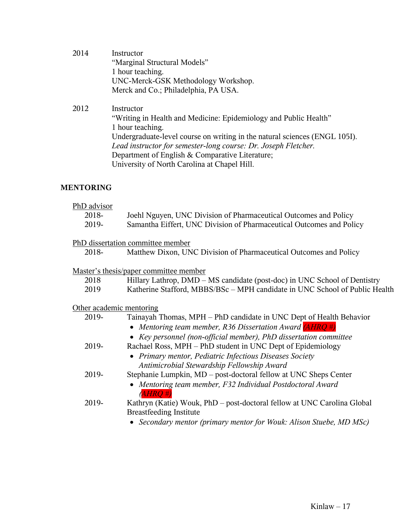| 2014 | Instructor                           |  |
|------|--------------------------------------|--|
|      | "Marginal Structural Models"         |  |
|      | 1 hour teaching.                     |  |
|      | UNC-Merck-GSK Methodology Workshop.  |  |
|      | Merck and Co.; Philadelphia, PA USA. |  |
| 2012 | Instructor                           |  |

"Writing in Health and Medicine: Epidemiology and Public Health" 1 hour teaching. Undergraduate-level course on writing in the natural sciences (ENGL 105I). *Lead instructor for semester-long course: Dr. Joseph Fletcher.* Department of English & Comparative Literature; University of North Carolina at Chapel Hill.

## **MENTORING**

#### PhD advisor

| 2018- | Joehl Nguyen, UNC Division of Pharmaceutical Outcomes and Policy     |
|-------|----------------------------------------------------------------------|
| 2019- | Samantha Eiffert, UNC Division of Pharmaceutical Outcomes and Policy |

#### PhD dissertation committee member

2018- Matthew Dixon, UNC Division of Pharmaceutical Outcomes and Policy

### Master's thesis/paper committee member

| 2018 | Hillary Lathrop, DMD – MS candidate (post-doc) in UNC School of Dentistry   |
|------|-----------------------------------------------------------------------------|
| 2019 | Katherine Stafford, MBBS/BSc – MPH candidate in UNC School of Public Health |

### Other academic mentoring

| 2019- | Tainayah Thomas, MPH – PhD candidate in UNC Dept of Health Behavior     |
|-------|-------------------------------------------------------------------------|
|       | • Mentoring team member, R36 Dissertation Award $(AHRQ \#)$             |
|       | • Key personnel (non-official member), PhD dissertation committee       |
| 2019- | Rachael Ross, MPH – PhD student in UNC Dept of Epidemiology             |
|       | • Primary mentor, Pediatric Infectious Diseases Society                 |
|       | Antimicrobial Stewardship Fellowship Award                              |
| 2019- | Stephanie Lumpkin, MD – post-doctoral fellow at UNC Sheps Center        |
|       | • Mentoring team member, F32 Individual Postdoctoral Award              |
|       | $(AHRO +)$                                                              |
| 2019- | Kathryn (Katie) Wouk, PhD – post-doctoral fellow at UNC Carolina Global |
|       | <b>Breastfeeding Institute</b>                                          |
|       | Secondary mentor (primary mentor for Wouk: Alison Stuebe, MD MSc)       |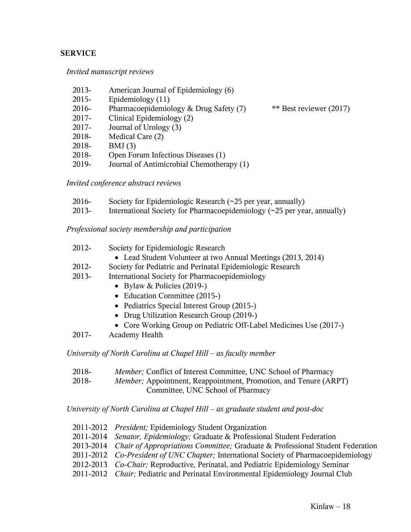## **SERVICE**

#### *Invited manuscript reviews*

| 2013- | American Journal of Epidemiology (6) |
|-------|--------------------------------------|
|-------|--------------------------------------|

- 2015- Epidemiology (11)
- 2016- Pharmacoepidemiology & Drug Safety (7) \*\* Best reviewer (2017)
- 2017- Clinical Epidemiology (2)
- 2017- Journal of Urology (3)
- 2018- Medical Care (2)
- 2018- BMJ (3)
- 2018- Open Forum Infectious Diseases (1)
- 2019- Journal of Antimicrobial Chemotherapy (1)

*Invited conference abstract reviews*

| 2016- | Society for Epidemiologic Research $(\sim 25$ per year, annually)             |
|-------|-------------------------------------------------------------------------------|
| 2013- | International Society for Pharmacoepidemiology $(\sim 25$ per year, annually) |

*Professional society membership and participation* 

| 2012- | Society for Epidemiologic Research                           |
|-------|--------------------------------------------------------------|
|       | • Lead Student Volunteer at two Annual Meetings (2013, 2014) |
| 2012- | Society for Pediatric and Perinatal Epidemiologic Research   |

- 2013- International Society for Pharmacoepidemiology
	- Bylaw & Policies (2019-)
	- Education Committee (2015-)
	- Pediatrics Special Interest Group (2015-)
	- Drug Utilization Research Group (2019-)
	- Core Working Group on Pediatric Off-Label Medicines Use (2017-)
- 2017- Academy Health

*University of North Carolina at Chapel Hill – as faculty member* 

| 2018- | Member; Conflict of Interest Committee, UNC School of Pharmacy |  |
|-------|----------------------------------------------------------------|--|
|-------|----------------------------------------------------------------|--|

2018- *Member;* Appointment, Reappointment, Promotion, and Tenure (ARPT) Committee, UNC School of Pharmacy

*University of North Carolina at Chapel Hill – as graduate student and post-doc*

- 2011-2012 *President;* Epidemiology Student Organization
- 2011-2014 *Senator, Epidemiology;* Graduate & Professional Student Federation
- 2013-2014 *Chair of Appropriations Committee;* Graduate & Professional Student Federation
- 2011-2012 *Co-President of UNC Chapter;* International Society of Pharmacoepidemiology
- 2012-2013 *Co-Chair;* Reproductive, Perinatal, and Pediatric Epidemiology Seminar
- 2011-2012 *Chair;* Pediatric and Perinatal Environmental Epidemiology Journal Club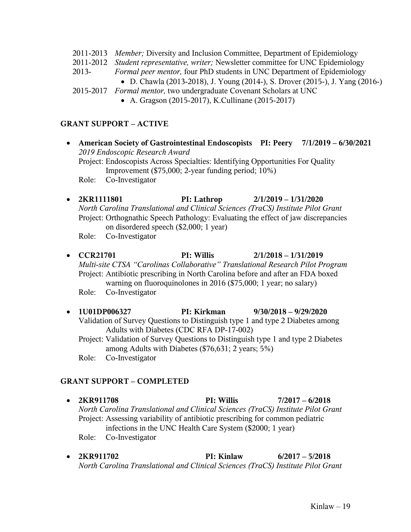- 2011-2013 *Member;* Diversity and Inclusion Committee, Department of Epidemiology
- 2011-2012 *Student representative, writer;* Newsletter committee for UNC Epidemiology

2013- *Formal peer mentor,* four PhD students in UNC Department of Epidemiology

D. Chawla (2013-2018), J. Young (2014-), S. Drover (2015-), J. Yang (2016-)

2015-2017 *Formal mentor,* two undergraduate Covenant Scholars at UNC

A. Gragson (2015-2017), K.Cullinane (2015-2017)

## **GRANT SUPPORT – ACTIVE**

- American Society of Gastrointestinal Endoscopists PI: Peery  $7/1/2019 6/30/2021$ *2019 Endoscopic Research Award* Project: Endoscopists Across Specialties: Identifying Opportunities For Quality Improvement (\$75,000; 2-year funding period; 10%) Role: Co-Investigator
- **2KR1111801 PI: Lathrop 2/1/2019 – 1/31/2020** *North Carolina Translational and Clinical Sciences (TraCS) Institute Pilot Grant* Project: Orthognathic Speech Pathology: Evaluating the effect of jaw discrepancies on disordered speech (\$2,000; 1 year) Role: Co-Investigator
- **CCR21701 PI: Willis 2/1/2018 – 1/31/2019** *Multi-site CTSA "Carolinas Collaborative" Translational Research Pilot Program* Project: Antibiotic prescribing in North Carolina before and after an FDA boxed warning on fluoroquinolones in 2016 (\$75,000; 1 year; no salary) Role: Co-Investigator
- **1U01DP006327 PI: Kirkman 9/30/2018 – 9/29/2020** Validation of Survey Questions to Distinguish type 1 and type 2 Diabetes among Adults with Diabetes (CDC RFA DP-17-002)

Project: Validation of Survey Questions to Distinguish type 1 and type 2 Diabetes among Adults with Diabetes (\$76,631; 2 years; 5%)

Role: Co-Investigator

#### **GRANT SUPPORT – COMPLETED**

- **2KR911708 PI: Willis 7/2017 – 6/2018** *North Carolina Translational and Clinical Sciences (TraCS) Institute Pilot Grant* Project: Assessing variability of antibiotic prescribing for common pediatric infections in the UNC Health Care System (\$2000; 1 year) Role: Co-Investigator
- **2KR911702 PI: Kinlaw 6/2017 – 5/2018** *North Carolina Translational and Clinical Sciences (TraCS) Institute Pilot Grant*